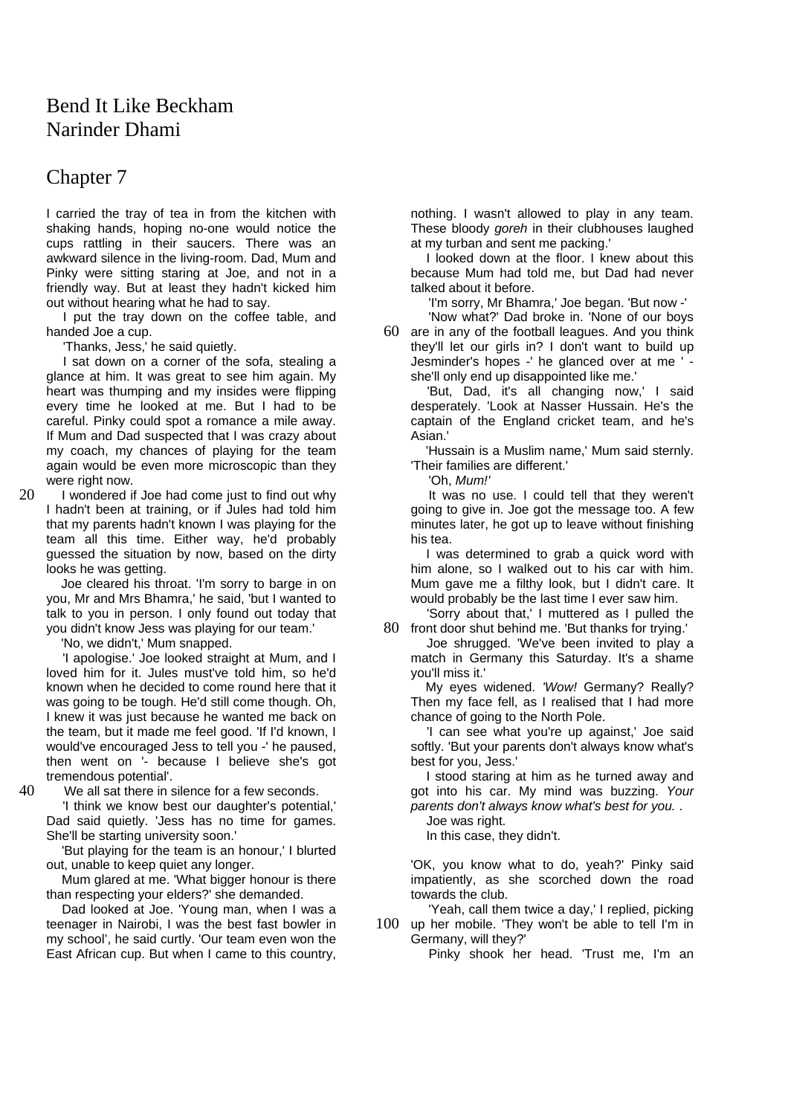## Bend It Like Beckham Narinder Dhami

## Chapter 7

I carried the tray of tea in from the kitchen with shaking hands, hoping no-one would notice the cups rattling in their saucers. There was an awkward silence in the living-room. Dad, Mum and Pinky were sitting staring at Joe, and not in a friendly way. But at least they hadn't kicked him out without hearing what he had to say.

 I put the tray down on the coffee table, and handed Joe a cup.

'Thanks, Jess,' he said quietly.

I sat down on a corner of the sofa, stealing a glance at him. It was great to see him again. My heart was thumping and my insides were flipping every time he looked at me. But I had to be careful. Pinky could spot a romance a mile away. If Mum and Dad suspected that I was crazy about my coach, my chances of playing for the team again would be even more microscopic than they were right now.

20 I wondered if Joe had come just to find out why I hadn't been at training, or if Jules had told him that my parents hadn't known I was playing for the team all this time. Either way, he'd probably guessed the situation by now, based on the dirty looks he was getting.

Joe cleared his throat. 'I'm sorry to barge in on you, Mr and Mrs Bhamra,' he said, 'but I wanted to talk to you in person. I only found out today that you didn't know Jess was playing for our team.'

'No, we didn't,' Mum snapped.

 'I apologise.' Joe looked straight at Mum, and I loved him for it. Jules must've told him, so he'd known when he decided to come round here that it was going to be tough. He'd still come though. Oh, I knew it was just because he wanted me back on the team, but it made me feel good. 'If I'd known, I would've encouraged Jess to tell you -' he paused, then went on '- because I believe she's got tremendous potential'.

40 We all sat there in silence for a few seconds.

'I think we know best our daughter's potential,' Dad said quietly. 'Jess has no time for games. She'll be starting university soon.'

 'But playing for the team is an honour,' I blurted out, unable to keep quiet any longer.

 Mum glared at me. 'What bigger honour is there than respecting your elders?' she demanded.

Dad looked at Joe. 'Young man, when I was a teenager in Nairobi, I was the best fast bowler in my school', he said curtly. 'Our team even won the East African cup. But when I came to this country, nothing. I wasn't allowed to play in any team. These bloody *goreh* in their clubhouses laughed at my turban and sent me packing.'

I looked down at the floor. I knew about this because Mum had told me, but Dad had never talked about it before.

 'I'm sorry, Mr Bhamra,' Joe began. 'But now -' 'Now what?' Dad broke in. 'None of our boys

60 are in any of the football leagues. And you think they'll let our girls in? I don't want to build up Jesminder's hopes -' he glanced over at me ' she'll only end up disappointed like me.'

'But, Dad, it's all changing now,' I said desperately. 'Look at Nasser Hussain. He's the captain of the England cricket team, and he's Asian.'

'Hussain is a Muslim name,' Mum said sternly. 'Their families are different.'

'Oh, *Mum!'* 

 It was no use. I could tell that they weren't going to give in. Joe got the message too. A few minutes later, he got up to leave without finishing his tea.

I was determined to grab a quick word with him alone, so I walked out to his car with him. Mum gave me a filthy look, but I didn't care. It would probably be the last time I ever saw him.

 'Sorry about that,' I muttered as I pulled the 80 front door shut behind me. 'But thanks for trying.'

 Joe shrugged. 'We've been invited to play a match in Germany this Saturday. It's a shame you'll miss it.'

My eyes widened. *'Wow!* Germany? Really? Then my face fell, as I realised that I had more chance of going to the North Pole.

'I can see what you're up against,' Joe said softly. 'But your parents don't always know what's best for you, Jess.'

I stood staring at him as he turned away and got into his car. My mind was buzzing. *Your parents don't always know what's best for you.* .

Joe was right.

In this case, they didn't.

'OK, you know what to do, yeah?' Pinky said impatiently, as she scorched down the road towards the club.

 'Yeah, call them twice a day,' I replied, picking 100 up her mobile. 'They won't be able to tell I'm in Germany, will they?'

Pinky shook her head. 'Trust me, I'm an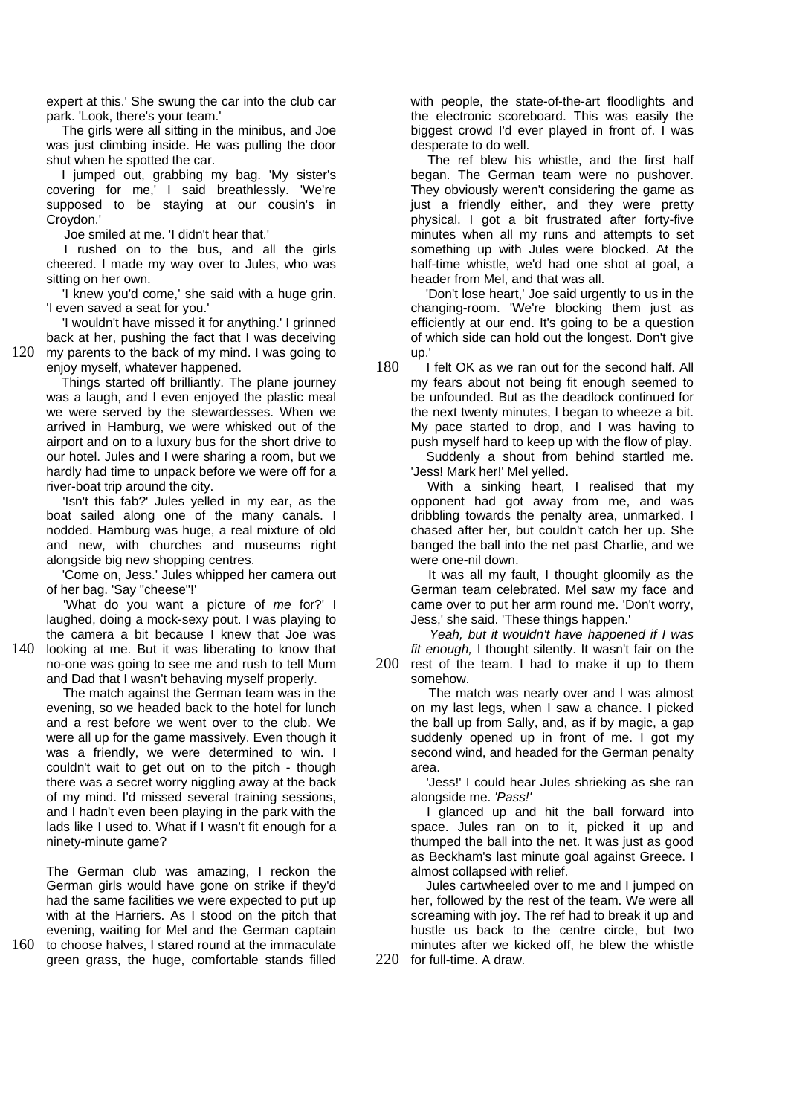expert at this.' She swung the car into the club car park. 'Look, there's your team.'

The girls were all sitting in the minibus, and Joe was just climbing inside. He was pulling the door shut when he spotted the car.

I jumped out, grabbing my bag. 'My sister's covering for me,' I said breathlessly. 'We're supposed to be staying at our cousin's in Croydon.'

Joe smiled at me. 'I didn't hear that.'

 I rushed on to the bus, and all the girls cheered. I made my way over to Jules, who was sitting on her own.

'I knew you'd come,' she said with a huge grin. 'I even saved a seat for you.'

'I wouldn't have missed it for anything.' I grinned back at her, pushing the fact that I was deceiving 120 my parents to the back of my mind. I was going to enjoy myself, whatever happened.

Things started off brilliantly. The plane journey was a laugh, and I even enjoyed the plastic meal we were served by the stewardesses. When we arrived in Hamburg, we were whisked out of the airport and on to a luxury bus for the short drive to our hotel. Jules and I were sharing a room, but we hardly had time to unpack before we were off for a river-boat trip around the city.

'Isn't this fab?' Jules yelled in my ear, as the boat sailed along one of the many canals. I nodded. Hamburg was huge, a real mixture of old and new, with churches and museums right alongside big new shopping centres.

'Come on, Jess.' Jules whipped her camera out of her bag. 'Say "cheese"!'

'What do you want a picture of *me* for?' I laughed, doing a mock-sexy pout. I was playing to the camera a bit because I knew that Joe was

140 looking at me. But it was liberating to know that no-one was going to see me and rush to tell Mum and Dad that I wasn't behaving myself properly.

The match against the German team was in the evening, so we headed back to the hotel for lunch and a rest before we went over to the club. We were all up for the game massively. Even though it was a friendly, we were determined to win. I couldn't wait to get out on to the pitch - though there was a secret worry niggling away at the back of my mind. I'd missed several training sessions, and I hadn't even been playing in the park with the lads like I used to. What if I wasn't fit enough for a ninety-minute game?

The German club was amazing, I reckon the German girls would have gone on strike if they'd had the same facilities we were expected to put up with at the Harriers. As I stood on the pitch that evening, waiting for Mel and the German captain

160 to choose halves, I stared round at the immaculate green grass, the huge, comfortable stands filled

with people, the state-of-the-art floodlights and the electronic scoreboard. This was easily the biggest crowd I'd ever played in front of. I was desperate to do well.

The ref blew his whistle, and the first half began. The German team were no pushover. They obviously weren't considering the game as just a friendly either, and they were pretty physical. I got a bit frustrated after forty-five minutes when all my runs and attempts to set something up with Jules were blocked. At the half-time whistle, we'd had one shot at goal, a header from Mel, and that was all.

'Don't lose heart,' Joe said urgently to us in the changing-room. 'We're blocking them just as efficiently at our end. It's going to be a question of which side can hold out the longest. Don't give up.'

180 I felt OK as we ran out for the second half. All my fears about not being fit enough seemed to be unfounded. But as the deadlock continued for the next twenty minutes, I began to wheeze a bit. My pace started to drop, and I was having to push myself hard to keep up with the flow of play.

Suddenly a shout from behind startled me. 'Jess! Mark her!' Mel yelled.

With a sinking heart, I realised that my opponent had got away from me, and was dribbling towards the penalty area, unmarked. I chased after her, but couldn't catch her up. She banged the ball into the net past Charlie, and we were one-nil down.

It was all my fault, I thought gloomily as the German team celebrated. Mel saw my face and came over to put her arm round me. 'Don't worry, Jess,' she said. 'These things happen.'

*Yeah, but it wouldn't have happened if I was fit enough,* I thought silently. It wasn't fair on the 200 rest of the team. I had to make it up to them somehow.

> The match was nearly over and I was almost on my last legs, when I saw a chance. I picked the ball up from Sally, and, as if by magic, a gap suddenly opened up in front of me. I got my second wind, and headed for the German penalty area.

> 'Jess!' I could hear Jules shrieking as she ran alongside me. *'Pass!'*

> I glanced up and hit the ball forward into space. Jules ran on to it, picked it up and thumped the ball into the net. It was just as good as Beckham's last minute goal against Greece. I almost collapsed with relief.

Jules cartwheeled over to me and I jumped on her, followed by the rest of the team. We were all screaming with joy. The ref had to break it up and hustle us back to the centre circle, but two minutes after we kicked off, he blew the whistle 220 for full-time. A draw.